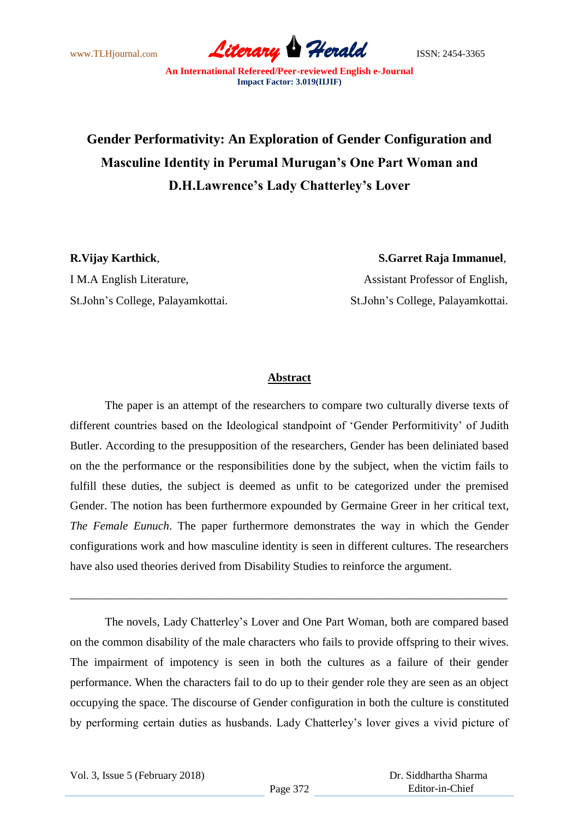

## **Gender Performativity: An Exploration of Gender Configuration and Masculine Identity in Perumal Murugan's One Part Woman and D.H.Lawrence's Lady Chatterley's Lover**

I M.A English Literature,  $\qquad \qquad$  Assistant Professor of English,

**R.Vijay Karthick**, **S.Garret Raja Immanuel**, St.John"s College, Palayamkottai. St.John"s College, Palayamkottai.

## **Abstract**

The paper is an attempt of the researchers to compare two culturally diverse texts of different countries based on the Ideological standpoint of "Gender Performitivity" of Judith Butler. According to the presupposition of the researchers, Gender has been deliniated based on the the performance or the responsibilities done by the subject, when the victim fails to fulfill these duties, the subject is deemed as unfit to be categorized under the premised Gender. The notion has been furthermore expounded by Germaine Greer in her critical text, *The Female Eunuch*. The paper furthermore demonstrates the way in which the Gender configurations work and how masculine identity is seen in different cultures. The researchers have also used theories derived from Disability Studies to reinforce the argument.

The novels, Lady Chatterley"s Lover and One Part Woman, both are compared based on the common disability of the male characters who fails to provide offspring to their wives. The impairment of impotency is seen in both the cultures as a failure of their gender performance. When the characters fail to do up to their gender role they are seen as an object occupying the space. The discourse of Gender configuration in both the culture is constituted by performing certain duties as husbands. Lady Chatterley"s lover gives a vivid picture of

\_\_\_\_\_\_\_\_\_\_\_\_\_\_\_\_\_\_\_\_\_\_\_\_\_\_\_\_\_\_\_\_\_\_\_\_\_\_\_\_\_\_\_\_\_\_\_\_\_\_\_\_\_\_\_\_\_\_\_\_\_\_\_\_\_\_\_\_\_\_\_\_\_\_\_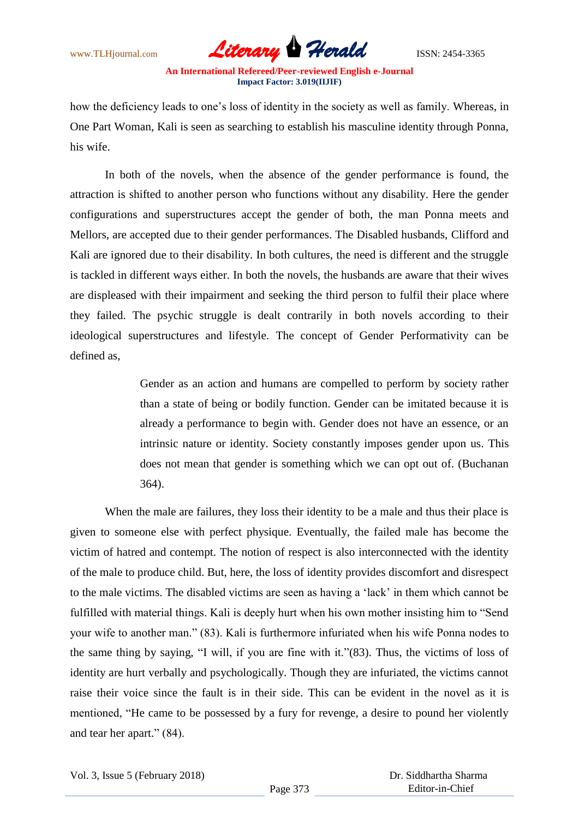

how the deficiency leads to one"s loss of identity in the society as well as family. Whereas, in One Part Woman, Kali is seen as searching to establish his masculine identity through Ponna, his wife.

In both of the novels, when the absence of the gender performance is found, the attraction is shifted to another person who functions without any disability. Here the gender configurations and superstructures accept the gender of both, the man Ponna meets and Mellors, are accepted due to their gender performances. The Disabled husbands, Clifford and Kali are ignored due to their disability. In both cultures, the need is different and the struggle is tackled in different ways either. In both the novels, the husbands are aware that their wives are displeased with their impairment and seeking the third person to fulfil their place where they failed. The psychic struggle is dealt contrarily in both novels according to their ideological superstructures and lifestyle. The concept of Gender Performativity can be defined as,

> Gender as an action and humans are compelled to perform by society rather than a state of being or bodily function. Gender can be imitated because it is already a performance to begin with. Gender does not have an essence, or an intrinsic nature or identity. Society constantly imposes gender upon us. This does not mean that gender is something which we can opt out of. (Buchanan 364).

When the male are failures, they loss their identity to be a male and thus their place is given to someone else with perfect physique. Eventually, the failed male has become the victim of hatred and contempt. The notion of respect is also interconnected with the identity of the male to produce child. But, here, the loss of identity provides discomfort and disrespect to the male victims. The disabled victims are seen as having a "lack" in them which cannot be fulfilled with material things. Kali is deeply hurt when his own mother insisting him to "Send your wife to another man." (83). Kali is furthermore infuriated when his wife Ponna nodes to the same thing by saying, "I will, if you are fine with it."(83). Thus, the victims of loss of identity are hurt verbally and psychologically. Though they are infuriated, the victims cannot raise their voice since the fault is in their side. This can be evident in the novel as it is mentioned, "He came to be possessed by a fury for revenge, a desire to pound her violently and tear her apart." (84).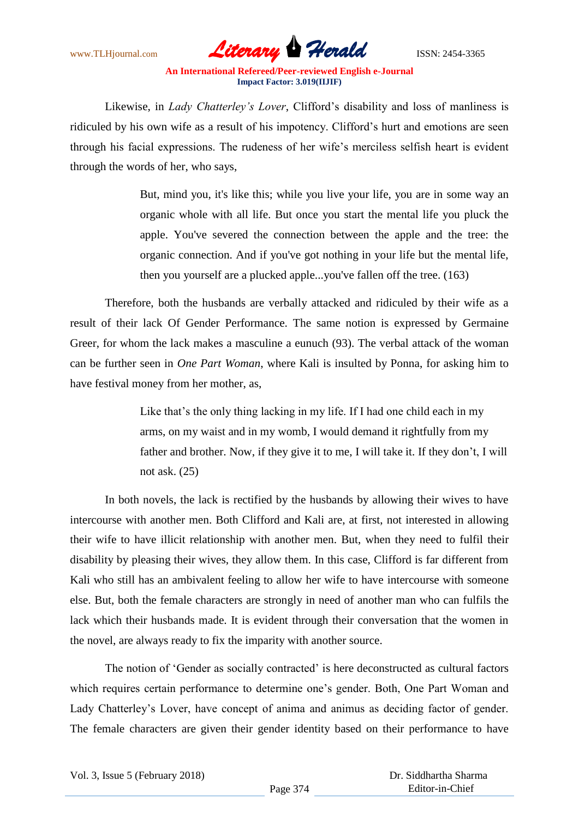

Likewise, in *Lady Chatterley's Lover*, Clifford"s disability and loss of manliness is ridiculed by his own wife as a result of his impotency. Clifford"s hurt and emotions are seen through his facial expressions. The rudeness of her wife"s merciless selfish heart is evident through the words of her, who says,

> But, mind you, it's like this; while you live your life, you are in some way an organic whole with all life. But once you start the mental life you pluck the apple. You've severed the connection between the apple and the tree: the organic connection. And if you've got nothing in your life but the mental life, then you yourself are a plucked apple...you've fallen off the tree. (163)

Therefore, both the husbands are verbally attacked and ridiculed by their wife as a result of their lack Of Gender Performance. The same notion is expressed by Germaine Greer, for whom the lack makes a masculine a eunuch (93). The verbal attack of the woman can be further seen in *One Part Woman*, where Kali is insulted by Ponna, for asking him to have festival money from her mother, as,

> Like that's the only thing lacking in my life. If I had one child each in my arms, on my waist and in my womb, I would demand it rightfully from my father and brother. Now, if they give it to me, I will take it. If they don"t, I will not ask. (25)

In both novels, the lack is rectified by the husbands by allowing their wives to have intercourse with another men. Both Clifford and Kali are, at first, not interested in allowing their wife to have illicit relationship with another men. But, when they need to fulfil their disability by pleasing their wives, they allow them. In this case, Clifford is far different from Kali who still has an ambivalent feeling to allow her wife to have intercourse with someone else. But, both the female characters are strongly in need of another man who can fulfils the lack which their husbands made. It is evident through their conversation that the women in the novel, are always ready to fix the imparity with another source.

The notion of 'Gender as socially contracted' is here deconstructed as cultural factors which requires certain performance to determine one's gender. Both, One Part Woman and Lady Chatterley"s Lover, have concept of anima and animus as deciding factor of gender. The female characters are given their gender identity based on their performance to have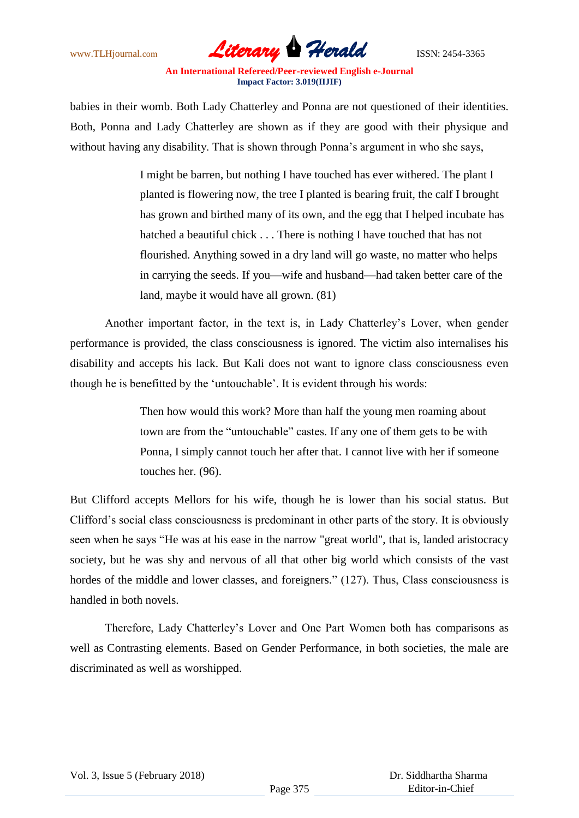

babies in their womb. Both Lady Chatterley and Ponna are not questioned of their identities. Both, Ponna and Lady Chatterley are shown as if they are good with their physique and without having any disability. That is shown through Ponna"s argument in who she says,

> I might be barren, but nothing I have touched has ever withered. The plant I planted is flowering now, the tree I planted is bearing fruit, the calf I brought has grown and birthed many of its own, and the egg that I helped incubate has hatched a beautiful chick . . . There is nothing I have touched that has not flourished. Anything sowed in a dry land will go waste, no matter who helps in carrying the seeds. If you—wife and husband—had taken better care of the land, maybe it would have all grown. (81)

Another important factor, in the text is, in Lady Chatterley"s Lover, when gender performance is provided, the class consciousness is ignored. The victim also internalises his disability and accepts his lack. But Kali does not want to ignore class consciousness even though he is benefitted by the "untouchable". It is evident through his words:

> Then how would this work? More than half the young men roaming about town are from the "untouchable" castes. If any one of them gets to be with Ponna, I simply cannot touch her after that. I cannot live with her if someone touches her. (96).

But Clifford accepts Mellors for his wife, though he is lower than his social status. But Clifford"s social class consciousness is predominant in other parts of the story. It is obviously seen when he says "He was at his ease in the narrow "great world", that is, landed aristocracy society, but he was shy and nervous of all that other big world which consists of the vast hordes of the middle and lower classes, and foreigners." (127). Thus, Class consciousness is handled in both novels.

Therefore, Lady Chatterley"s Lover and One Part Women both has comparisons as well as Contrasting elements. Based on Gender Performance, in both societies, the male are discriminated as well as worshipped.